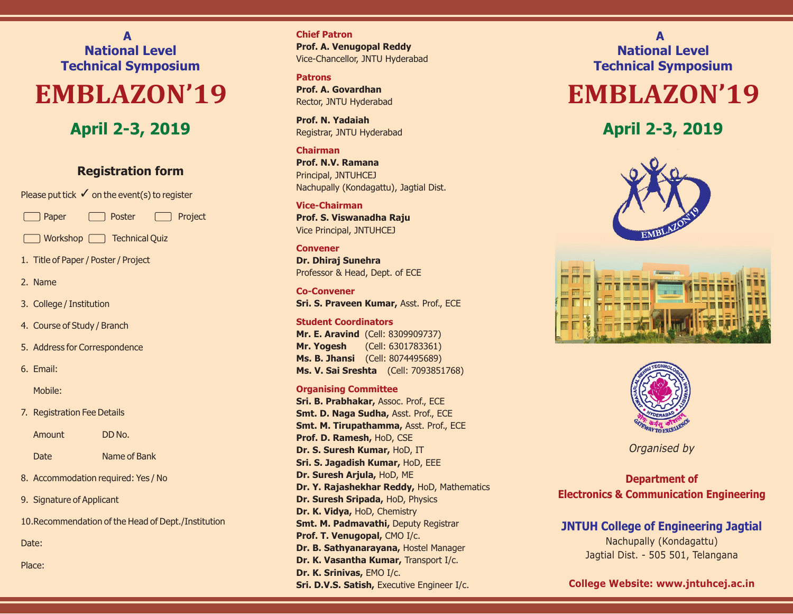**A National Level Technical Symposium**

# **EMBLAZON'19**

## **April 2-3, 2019**

### **Registration form**

Please put tick  $\checkmark$  on the event(s) to register

Paper **Poster** Project

Workshop **Technical Quiz** 

1. Title of Paper / Poster / Project

- 2. Name
- 3. College / Institution
- 4. Course of Study / Branch
- 5. Address for Correspondence
- 6. Email:

Mobile:

7. Registration Fee Details

Amount DD No.

Date Name of Bank

- 8. Accommodation required: Yes / No
- 9. Signature of Applicant

10.Recommendation of the Head of Dept./Institution

Date:

Place:

**Chief Patron** Vice-Chancellor, JNTU Hyderabad **Prof. A. Venugopal Reddy**

**Patrons** Rector, JNTU Hyderabad **Prof. A. Govardhan**

Registrar, JNTU Hyderabad **Prof. N. Yadaiah**

#### **Chairman**

Principal, JNTUHCEJ Nachupally (Kondagattu), Jagtial Dist. **Prof. N.V. Ramana**

**Vice-Chairman** Vice Principal, JNTUHCEJ **Prof. S. Viswanadha Raju**

#### **Convener**

Professor & Head, Dept. of ECE **Dr. Dhiraj Sunehra**

**Co-Convener Sri. S. Praveen Kumar,** Asst. Prof., ECE

#### **Student Coordinators**

**Mr. E. Aravind** (Cell: 8309909737) (Cell: 6301783361) **Mr. Yogesh** (Cell: 8074495689) **Ms. B. Jhansi Ms. V. Sai Sreshta** (Cell: 7093851768)

#### **Organising Committee**

**Sri. B. Prabhakar,** Assoc. Prof., ECE **Prof. D. Ramesh, HoD, CSE Dr. S. Suresh Kumar, HoD, IT Sri. S. Jagadish Kumar,** HoD, EEE **Dr. Suresh Arjula, HoD, ME Dr. Y. Rajashekhar Reddy, HoD, Mathematics Dr. Suresh Sripada, HoD, Physics Dr. K. Vidya, HoD, Chemistry** Prof. T. Venugopal, CMO I/c. Dr. B. Sathyanarayana, Hostel Manager **Sri. D.V.S. Satish,** Executive Engineer I/c. **Smt. M. Padmavathi,** Deputy Registrar **Smt. D. Naga Sudha,** Asst. Prof., ECE Smt. M. Tirupathamma, Asst. Prof., ECE **Dr. K. Vasantha Kumar, Transport I/c. Dr. K. Srinivas, EMO I/c.** 

**A National Level Technical Symposium**

## **EMBLAZON'19**

**April 2-3, 2019**







*Organised by*

### **Department of Electronics & Communication Engineering**

## **JNTUH College of Engineering Jagtial**

Nachupally (Kondagattu) Jagtial Dist. - 505 501, Telangana

**College Website: www.jntuhcej.ac.in**